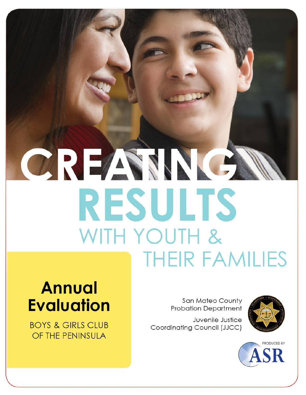# CREASING **RESULTS** WITH YOUTH & **THEIR FAMILIES**

## **Annual Evaluation**

**BOYS & GIRLS CLUB** OF THE PENINSULA

**San Mateo County Probation Department** 

Juvenile Justice Coordinating Council (JJCC)



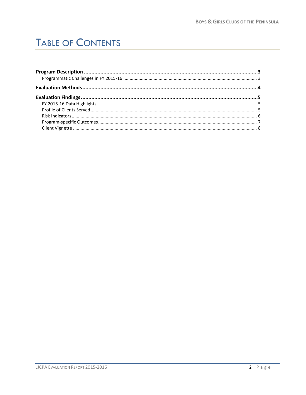## **TABLE OF CONTENTS**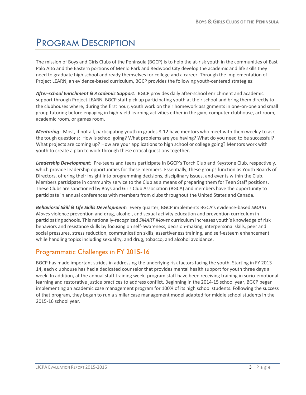## <span id="page-2-0"></span>PROGRAM DESCRIPTION

The mission of Boys and Girls Clubs of the Peninsula (BGCP) is to help the at-risk youth in the communities of East Palo Alto and the Eastern portions of Menlo Park and Redwood City develop the academic and life skills they need to graduate high school and ready themselves for college and a career. Through the implementation of Project LEARN, an evidence-based curriculum, BGCP provides the following youth-centered strategies:

*After-school Enrichment & Academic Support:* BGCP provides daily after-school enrichment and academic support through Project LEARN. BGCP staff pick up participating youth at their school and bring them directly to the clubhouses where, during the first hour, youth work on their homework assignments in one-on-one and small group tutoring before engaging in high-yield learning activities either in the gym, computer clubhouse, art room, academic room, or games room.

*Mentoring:* Most, if not all, participating youth in grades 8-12 have mentors who meet with them weekly to ask the tough questions: How is school going? What problems are you having? What do you need to be successful? What projects are coming up? How are your applications to high school or college going? Mentors work with youth to create a plan to work through these critical questions together.

*Leadership Development:* Pre-teens and teens participate in BGCP's Torch Club and Keystone Club, respectively, which provide leadership opportunities for these members. Essentially, these groups function as Youth Boards of Directors, offering their insight into programming decisions, disciplinary issues, and events within the Club. Members participate in community service to the Club as a means of preparing them for Teen Staff positions. These Clubs are sanctioned by Boys and Girls Club Association (BGCA) and members have the opportunity to participate in annual conferences with members from clubs throughout the United States and Canada.

*Behavioral Skill & Life Skills Development:* Every quarter, BGCP implements BGCA's evidence-based *SMART Moves* violence prevention and drug, alcohol, and sexual activity education and prevention curriculum in participating schools. This nationally-recognized *SMART Moves* curriculum increases youth's knowledge of risk behaviors and resistance skills by focusing on self-awareness, decision-making, interpersonal skills, peer and social pressures, stress reduction, communication skills, assertiveness training, and self-esteem enhancement while handling topics including sexuality, and drug, tobacco, and alcohol avoidance.

#### <span id="page-2-1"></span>Programmatic Challenges in FY 2015-16

BGCP has made important strides in addressing the underlying risk factors facing the youth. Starting in FY 2013- 14, each clubhouse has had a dedicated counselor that provides mental health support for youth three days a week. In addition, at the annual staff training week, program staff have been receiving training in socio-emotional learning and restorative justice practices to address conflict. Beginning in the 2014-15 school year, BGCP began implementing an academic case management program for 100% of its high school students. Following the success of that program, they began to run a similar case management model adapted for middle school students in the 2015-16 school year.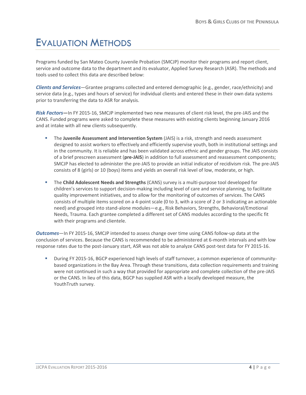### <span id="page-3-0"></span>EVALUATION METHODS

Programs funded by San Mateo County Juvenile Probation (SMCJP) monitor their programs and report client, service and outcome data to the department and its evaluator, Applied Survey Research (ASR). The methods and tools used to collect this data are described below:

*Clients and Services*—Grantee programs collected and entered demographic (e.g., gender, race/ethnicity) and service data (e.g., types and hours of service) for individual clients and entered these in their own data systems prior to transferring the data to ASR for analysis.

*Risk Factors***—**In FY 2015-16, SMCJP implemented two new measures of client risk level, the pre-JAIS and the CANS. Funded programs were asked to complete these measures with existing clients beginning January 2016 and at intake with all new clients subsequently.

- The **Juvenile Assessment and Intervention System** (JAIS) is a risk, strength and needs assessment designed to assist workers to effectively and efficiently supervise youth, both in institutional settings and in the community. It is reliable and has been validated across ethnic and gender groups. The JAIS consists of a brief prescreen assessment (**pre-JAIS**) in addition to full assessment and reassessment components; SMCJP has elected to administer the pre-JAIS to provide an initial indicator of recidivism risk. The pre-JAIS consists of 8 (girls) or 10 (boys) items and yields an overall risk level of low, moderate, or high.
- The **Child Adolescent Needs and Strengths** (CANS) survey is a multi-purpose tool developed for children's services to support decision-making including level of care and service planning, to facilitate quality improvement initiatives, and to allow for the monitoring of outcomes of services. The CANS consists of multiple items scored on a 4-point scale (0 to 3, with a score of 2 or 3 indicating an actionable need) and grouped into stand-alone modules—e.g., Risk Behaviors, Strengths, Behavioral/Emotional Needs, Trauma. Each grantee completed a different set of CANS modules according to the specific fit with their programs and clientele.

*Outcomes*—In FY 2015-16, SMCJP intended to assess change over time using CANS follow-up data at the conclusion of services. Because the CANS is recommended to be administered at 6-month intervals and with low response rates due to the post-January start, ASR was not able to analyze CANS post-test data for FY 2015-16.

 During FY 2015-16, BGCP experienced high levels of staff turnover, a common experience of communitybased organizations in the Bay Area. Through these transitions, data collection requirements and training were not continued in such a way that provided for appropriate and complete collection of the pre-JAIS or the CANS. In lieu of this data, BGCP has supplied ASR with a locally developed measure, the YouthTruth survey.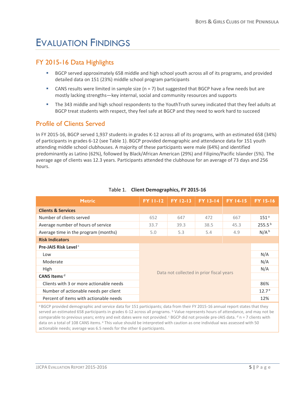## <span id="page-4-0"></span>EVALUATION FINDINGS

#### <span id="page-4-1"></span>FY 2015-16 Data Highlights

- **BGCP** served approximately 658 middle and high school youth across all of its programs, and provided detailed data on 151 (23%) middle school program participants
- CANS results were limited in sample size ( $n = 7$ ) but suggested that BGCP have a few needs but are mostly lacking strengths—key internal, social and community resources and supports
- The 343 middle and high school respondents to the YouthTruth survey indicated that they feel adults at BGCP treat students with respect, they feel safe at BGCP and they need to work hard to succeed

#### <span id="page-4-2"></span>Profile of Clients Served

In FY 2015-16, BGCP served 1,937 students in grades K-12 across all of its programs, with an estimated 658 (34%) of participants in grades 6-12 (see Table 1). BGCP provided demographic and attendance data for 151 youth attending middle school clubhouses. A majority of these participants were male (64%) and identified predominantly as Latino (62%), followed by Black/African American (29%) and Filipino/Pacific Islander (5%). The average age of clients was 12.3 years. Participants attended the clubhouse for an average of 73 days and 256 hours.

| <b>Metric</b>                           | <b>FY 11-12</b>                          | <b>FY 12-13</b> | <b>FY 13-14</b> | <b>FY 14-15</b> | <b>FY 15-16</b>    |  |  |
|-----------------------------------------|------------------------------------------|-----------------|-----------------|-----------------|--------------------|--|--|
| <b>Clients &amp; Services</b>           |                                          |                 |                 |                 |                    |  |  |
| Number of clients served                | 652                                      | 647             | 472             | 667             | 151 <sup>a</sup>   |  |  |
| Average number of hours of service      | 33.7                                     | 39.3            | 38.5            | 45.3            | 255.5 <sup>b</sup> |  |  |
| Average time in the program (months)    | 5.0                                      | 5.3             | 5.4             | 4.9             | N/A <sup>b</sup>   |  |  |
| <b>Risk Indicators</b>                  |                                          |                 |                 |                 |                    |  |  |
| <b>Pre-JAIS Risk Level</b> <sup>c</sup> |                                          |                 |                 |                 |                    |  |  |
| Low                                     |                                          |                 |                 | N/A             |                    |  |  |
| Moderate                                |                                          |                 |                 | N/A             |                    |  |  |
| High                                    |                                          |                 |                 | N/A             |                    |  |  |
| CANS Items <sup>d</sup>                 | Data not collected in prior fiscal years |                 |                 |                 |                    |  |  |
| Clients with 3 or more actionable needs | 86%                                      |                 |                 |                 |                    |  |  |
| Number of actionable needs per client   | 12.7 <sup>e</sup>                        |                 |                 |                 |                    |  |  |
| Percent of items with actionable needs  |                                          |                 |                 |                 | 12%                |  |  |

#### Table 1. **Client Demographics, FY 2015-16**

<span id="page-4-3"></span>a BGCP provided demographic and service data for 151 participants; data from their FY 2015-16 annual report states that they served an estimated 658 participants in grades 6-12 across all programs. <sup>b</sup> Value represents hours of attendance, and may not be comparable to previous years; entry and exit dates were not provided. <sup>c</sup> BGCP did not provide pre-JAIS data. <sup>d</sup> n = 7 clients with data on a total of 108 CANS items. <sup>e</sup> This value should be interpreted with caution as one individual was assessed with 50 actionable needs; average was 6.5 needs for the other 6 participants.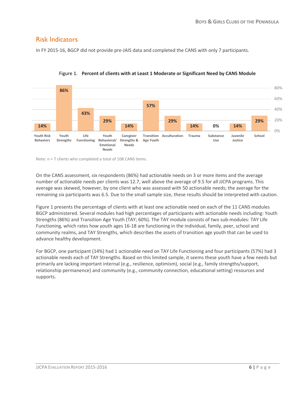#### Risk Indicators

In FY 2015-16, BGCP did not provide pre-JAIS data and completed the CANS with only 7 participants.





Note: n = 7 clients who completed a total of 108 CANS items.

On the CANS assessment, six respondents (86%) had actionable needs on 3 or more items and the average number of actionable needs per clients was 12.7, well above the average of 9.5 for all JJCPA programs. This average was skewed, however, by one client who was assessed with 50 actionable needs; the average for the remaining six participants was 6.5. Due to the small sample size, these results should be interpreted with caution.

Figure 1 presents the percentage of clients with at least one actionable need on each of the 11 CANS modules BGCP administered. Several modules had high percentages of participants with actionable needs including: Youth Strengths (86%) and Transition Age Youth (TAY; 60%). The TAY module consists of two sub-modules: TAY Life Functioning, which rates how youth ages 16-18 are functioning in the individual, family, peer, school and community realms, and TAY Strengths, which describes the assets of transition age youth that can be used to advance healthy development.

<span id="page-5-0"></span>For BGCP, one participant (14%) had 1 actionable need on TAY Life Functioning and four participants (57%) had 3 actionable needs each of TAY Strengths. Based on this limited sample, it seems these youth have a few needs but primarily are lacking important internal (e.g., resilience, optimism), social (e.g., family strengths/support, relationship permanence) and community (e.g., community connection, educational setting) resources and supports.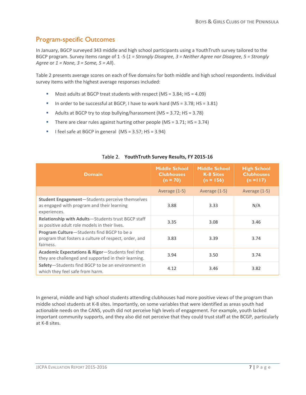#### Program-specific Outcomes

In January, BGCP surveyed 343 middle and high school participants using a YouthTruth survey tailored to the BGCP program. Survey items range of 1 -5 (*1 = Strongly Disagree, 3 = Neither Agree nor Disagree, 5 = Strongly Agree* or *1 = None, 3 = Some, 5 = All*).

Table 2 presents average scores on each of five domains for both middle and high school respondents. Individual survey items with the highest average responses included:

- Most adults at BGCP treat students with respect (MS = 3.84; HS = 4.09)
- In order to be successful at BGCP, I have to work hard (MS =  $3.78$ ; HS =  $3.81$ )
- Adults at BGCP try to stop bullying/harassment (MS = 3.72; HS = 3.78)
- There are clear rules against hurting other people (MS =  $3.71$ ; HS =  $3.74$ )
- I feel safe at BGCP in general  $(MS = 3.57; HS = 3.94)$

| <b>Domain</b>                                                                                                         | <b>Middle School</b><br><b>Clubhouses</b><br>$(n = 70)$ | <b>Middle School</b><br><b>K-8 Sites</b><br>$(n = 156)$ | <b>High School</b><br><b>Clubhouses</b><br>$(n = 117)$ |
|-----------------------------------------------------------------------------------------------------------------------|---------------------------------------------------------|---------------------------------------------------------|--------------------------------------------------------|
|                                                                                                                       | Average (1-5)                                           | Average (1-5)                                           | Average (1-5)                                          |
| <b>Student Engagement</b> —Students perceive themselves<br>as engaged with program and their learning<br>experiences. | 3.88                                                    | 3.33                                                    | N/A                                                    |
| Relationship with Adults-Students trust BGCP staff<br>as positive adult role models in their lives.                   | 3.35                                                    | 3.08                                                    | 3.46                                                   |
| Program Culture-Students find BGCP to be a<br>program that fosters a culture of respect, order, and<br>fairness.      | 3.83                                                    | 3.39                                                    | 3.74                                                   |
| Academic Expectations & Rigor-Students feel that<br>they are challenged and supported in their learning.              | 3.94                                                    | 3.50                                                    | 3.74                                                   |
| Safety-Students find BGCP to be an environment in<br>which they feel safe from harm.                                  | 4.12                                                    | 3.46                                                    | 3.82                                                   |

#### Table 2. **YouthTruth Survey Results, FY 2015-16**

<span id="page-6-0"></span>In general, middle and high school students attending clubhouses had more positive views of the program than middle school students at K-8 sites. Importantly, on some variables that were identified as areas youth had actionable needs on the CANS, youth did not perceive high levels of engagement. For example, youth lacked important community supports, and they also did not perceive that they could trust staff at the BCGP, particularly at K-8 sites.